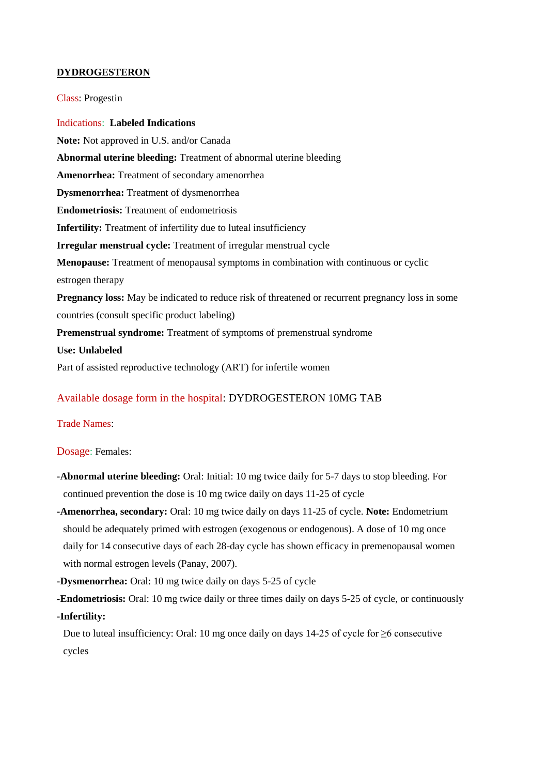## **DYDROGESTERON**

Class: Progestin

Indications: **Labeled Indications Note:** Not approved in U.S. and/or Canada **Abnormal uterine bleeding:** Treatment of abnormal uterine bleeding **Amenorrhea:** Treatment of secondary amenorrhea **Dysmenorrhea:** Treatment of dysmenorrhea **Endometriosis:** Treatment of endometriosis **Infertility:** Treatment of infertility due to luteal insufficiency **Irregular menstrual cycle:** Treatment of irregular menstrual cycle **Menopause:** Treatment of menopausal symptoms in combination with continuous or cyclic estrogen therapy **Pregnancy loss:** May be indicated to reduce risk of threatened or recurrent pregnancy loss in some countries (consult specific product labeling) **Premenstrual syndrome:** Treatment of symptoms of premenstrual syndrome **Use: Unlabeled** Part of assisted reproductive technology (ART) for infertile women

# Available dosage form in the hospital: DYDROGESTERON 10MG TAB

Trade Names:

Dosage: Females:

- **-Abnormal uterine bleeding:** Oral: Initial: 10 mg twice daily for 5-7 days to stop bleeding. For continued prevention the dose is 10 mg twice daily on days 11-25 of cycle
- **-Amenorrhea, secondary:** Oral: 10 mg twice daily on days 11-25 of cycle. **Note:** Endometrium should be adequately primed with estrogen (exogenous or endogenous). A dose of 10 mg once daily for 14 consecutive days of each 28-day cycle has shown efficacy in premenopausal women with normal estrogen levels (Panay, 2007).
- **-Dysmenorrhea:** Oral: 10 mg twice daily on days 5-25 of cycle

**-Endometriosis:** Oral: 10 mg twice daily or three times daily on days 5-25 of cycle, or continuously

**-Infertility:**

Due to luteal insufficiency: Oral: 10 mg once daily on days 14-25 of cycle for ≥6 consecutive cycles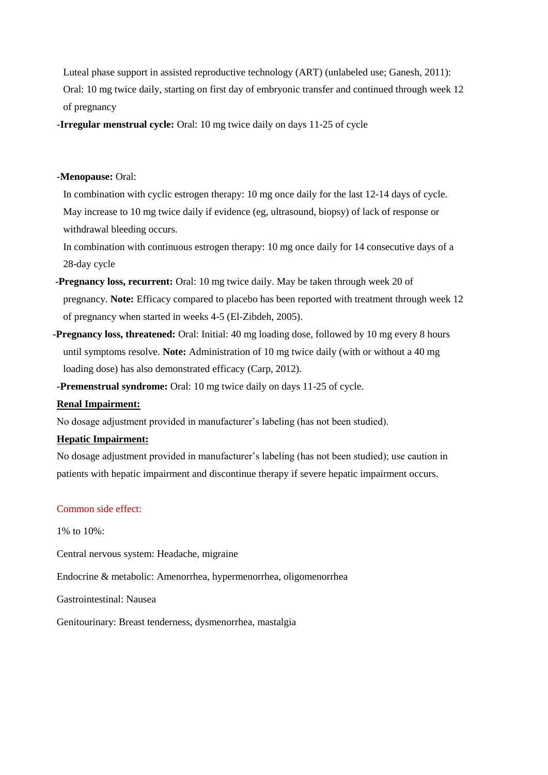Luteal phase support in assisted reproductive technology (ART) (unlabeled use; Ganesh, 2011): Oral: 10 mg twice daily, starting on first day of embryonic transfer and continued through week 12 of pregnancy

**-Irregular menstrual cycle:** Oral: 10 mg twice daily on days 11-25 of cycle

## **-Menopause:** Oral:

In combination with cyclic estrogen therapy: 10 mg once daily for the last 12-14 days of cycle. May increase to 10 mg twice daily if evidence (eg, ultrasound, biopsy) of lack of response or withdrawal bleeding occurs.

In combination with continuous estrogen therapy: 10 mg once daily for 14 consecutive days of a 28-day cycle

- **-Pregnancy loss, recurrent:** Oral: 10 mg twice daily. May be taken through week 20 of pregnancy. **Note:** Efficacy compared to placebo has been reported with treatment through week 12 of pregnancy when started in weeks 4-5 (El-Zibdeh, 2005).
- **-Pregnancy loss, threatened:** Oral: Initial: 40 mg loading dose, followed by 10 mg every 8 hours until symptoms resolve. **Note:** Administration of 10 mg twice daily (with or without a 40 mg loading dose) has also demonstrated efficacy (Carp, 2012).

**-Premenstrual syndrome:** Oral: 10 mg twice daily on days 11-25 of cycle.

#### **Renal Impairment:**

No dosage adjustment provided in manufacturer's labeling (has not been studied).

## **Hepatic Impairment:**

No dosage adjustment provided in manufacturer's labeling (has not been studied); use caution in patients with hepatic impairment and discontinue therapy if severe hepatic impairment occurs.

### Common side effect:

1% to 10%:

Central nervous system: Headache, migraine

Endocrine & metabolic: Amenorrhea, hypermenorrhea, oligomenorrhea

Gastrointestinal: Nausea

Genitourinary: Breast tenderness, dysmenorrhea, mastalgia